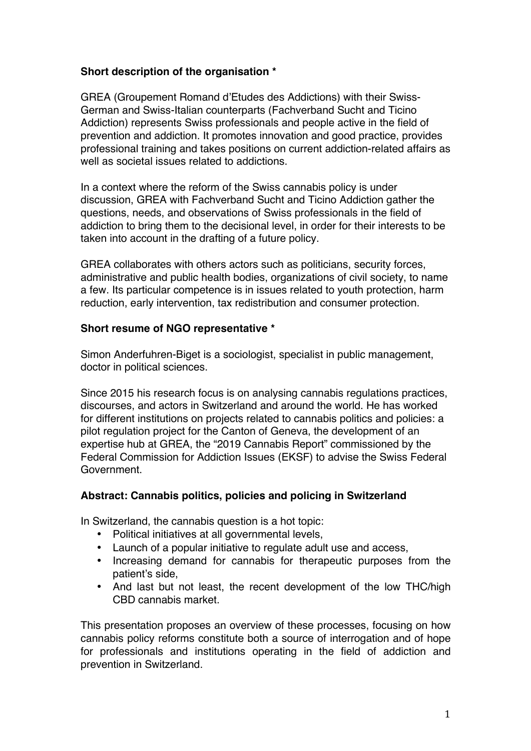## **Short description of the organisation \***

GREA (Groupement Romand d'Etudes des Addictions) with their Swiss-German and Swiss-Italian counterparts (Fachverband Sucht and Ticino Addiction) represents Swiss professionals and people active in the field of prevention and addiction. It promotes innovation and good practice, provides professional training and takes positions on current addiction-related affairs as well as societal issues related to addictions.

In a context where the reform of the Swiss cannabis policy is under discussion, GREA with Fachverband Sucht and Ticino Addiction gather the questions, needs, and observations of Swiss professionals in the field of addiction to bring them to the decisional level, in order for their interests to be taken into account in the drafting of a future policy.

GREA collaborates with others actors such as politicians, security forces, administrative and public health bodies, organizations of civil society, to name a few. Its particular competence is in issues related to youth protection, harm reduction, early intervention, tax redistribution and consumer protection.

## **Short resume of NGO representative \***

Simon Anderfuhren-Biget is a sociologist, specialist in public management, doctor in political sciences.

Since 2015 his research focus is on analysing cannabis regulations practices, discourses, and actors in Switzerland and around the world. He has worked for different institutions on projects related to cannabis politics and policies: a pilot regulation project for the Canton of Geneva, the development of an expertise hub at GREA, the "2019 Cannabis Report" commissioned by the Federal Commission for Addiction Issues (EKSF) to advise the Swiss Federal Government.

## **Abstract: Cannabis politics, policies and policing in Switzerland**

In Switzerland, the cannabis question is a hot topic:

- Political initiatives at all governmental levels,
- Launch of a popular initiative to regulate adult use and access,
- Increasing demand for cannabis for therapeutic purposes from the patient's side,
- And last but not least, the recent development of the low THC/high CBD cannabis market.

This presentation proposes an overview of these processes, focusing on how cannabis policy reforms constitute both a source of interrogation and of hope for professionals and institutions operating in the field of addiction and prevention in Switzerland.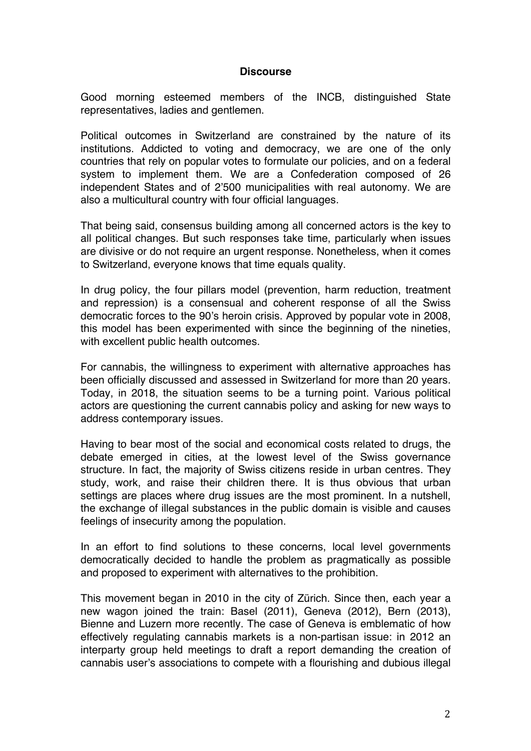## **Discourse**

Good morning esteemed members of the INCB, distinguished State representatives, ladies and gentlemen.

Political outcomes in Switzerland are constrained by the nature of its institutions. Addicted to voting and democracy, we are one of the only countries that rely on popular votes to formulate our policies, and on a federal system to implement them. We are a Confederation composed of 26 independent States and of 2'500 municipalities with real autonomy. We are also a multicultural country with four official languages.

That being said, consensus building among all concerned actors is the key to all political changes. But such responses take time, particularly when issues are divisive or do not require an urgent response. Nonetheless, when it comes to Switzerland, everyone knows that time equals quality.

In drug policy, the four pillars model (prevention, harm reduction, treatment and repression) is a consensual and coherent response of all the Swiss democratic forces to the 90's heroin crisis. Approved by popular vote in 2008, this model has been experimented with since the beginning of the nineties, with excellent public health outcomes.

For cannabis, the willingness to experiment with alternative approaches has been officially discussed and assessed in Switzerland for more than 20 years. Today, in 2018, the situation seems to be a turning point. Various political actors are questioning the current cannabis policy and asking for new ways to address contemporary issues.

Having to bear most of the social and economical costs related to drugs, the debate emerged in cities, at the lowest level of the Swiss governance structure. In fact, the majority of Swiss citizens reside in urban centres. They study, work, and raise their children there. It is thus obvious that urban settings are places where drug issues are the most prominent. In a nutshell, the exchange of illegal substances in the public domain is visible and causes feelings of insecurity among the population.

In an effort to find solutions to these concerns, local level governments democratically decided to handle the problem as pragmatically as possible and proposed to experiment with alternatives to the prohibition.

This movement began in 2010 in the city of Zürich. Since then, each year a new wagon joined the train: Basel (2011), Geneva (2012), Bern (2013), Bienne and Luzern more recently. The case of Geneva is emblematic of how effectively regulating cannabis markets is a non-partisan issue: in 2012 an interparty group held meetings to draft a report demanding the creation of cannabis user's associations to compete with a flourishing and dubious illegal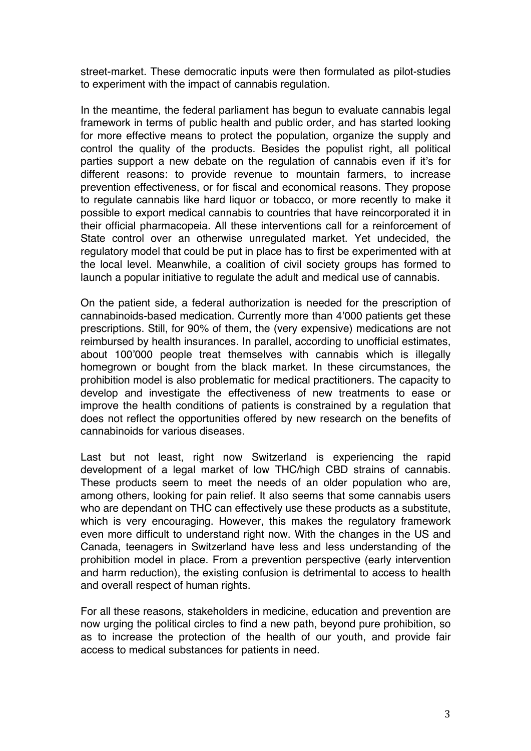street-market. These democratic inputs were then formulated as pilot-studies to experiment with the impact of cannabis regulation.

In the meantime, the federal parliament has begun to evaluate cannabis legal framework in terms of public health and public order, and has started looking for more effective means to protect the population, organize the supply and control the quality of the products. Besides the populist right, all political parties support a new debate on the regulation of cannabis even if it's for different reasons: to provide revenue to mountain farmers, to increase prevention effectiveness, or for fiscal and economical reasons. They propose to regulate cannabis like hard liquor or tobacco, or more recently to make it possible to export medical cannabis to countries that have reincorporated it in their official pharmacopeia. All these interventions call for a reinforcement of State control over an otherwise unregulated market. Yet undecided, the regulatory model that could be put in place has to first be experimented with at the local level. Meanwhile, a coalition of civil society groups has formed to launch a popular initiative to regulate the adult and medical use of cannabis.

On the patient side, a federal authorization is needed for the prescription of cannabinoids-based medication. Currently more than 4'000 patients get these prescriptions. Still, for 90% of them, the (very expensive) medications are not reimbursed by health insurances. In parallel, according to unofficial estimates, about 100'000 people treat themselves with cannabis which is illegally homegrown or bought from the black market. In these circumstances, the prohibition model is also problematic for medical practitioners. The capacity to develop and investigate the effectiveness of new treatments to ease or improve the health conditions of patients is constrained by a regulation that does not reflect the opportunities offered by new research on the benefits of cannabinoids for various diseases.

Last but not least, right now Switzerland is experiencing the rapid development of a legal market of low THC/high CBD strains of cannabis. These products seem to meet the needs of an older population who are, among others, looking for pain relief. It also seems that some cannabis users who are dependant on THC can effectively use these products as a substitute, which is very encouraging. However, this makes the regulatory framework even more difficult to understand right now. With the changes in the US and Canada, teenagers in Switzerland have less and less understanding of the prohibition model in place. From a prevention perspective (early intervention and harm reduction), the existing confusion is detrimental to access to health and overall respect of human rights.

For all these reasons, stakeholders in medicine, education and prevention are now urging the political circles to find a new path, beyond pure prohibition, so as to increase the protection of the health of our youth, and provide fair access to medical substances for patients in need.